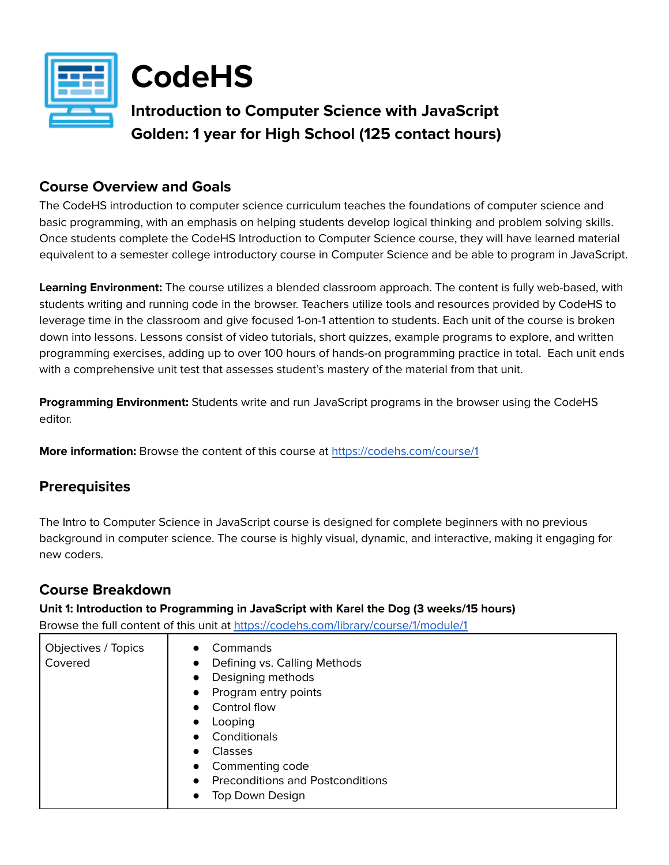

**CodeHS**

# **Introduction to Computer Science with JavaScript Golden: 1 year for High School (125 contact hours)**

# **Course Overview and Goals**

The CodeHS introduction to computer science curriculum teaches the foundations of computer science and basic programming, with an emphasis on helping students develop logical thinking and problem solving skills. Once students complete the CodeHS Introduction to Computer Science course, they will have learned material equivalent to a semester college introductory course in Computer Science and be able to program in JavaScript.

**Learning Environment:** The course utilizes a blended classroom approach. The content is fully web-based, with students writing and running code in the browser. Teachers utilize tools and resources provided by CodeHS to leverage time in the classroom and give focused 1-on-1 attention to students. Each unit of the course is broken down into lessons. Lessons consist of video tutorials, short quizzes, example programs to explore, and written programming exercises, adding up to over 100 hours of hands-on programming practice in total. Each unit ends with a comprehensive unit test that assesses student's mastery of the material from that unit.

**Programming Environment:** Students write and run JavaScript programs in the browser using the CodeHS editor.

**More information:** Browse the content of this course at <https://codehs.com/course/1>

# **Prerequisites**

The Intro to Computer Science in JavaScript course is designed for complete beginners with no previous background in computer science. The course is highly visual, dynamic, and interactive, making it engaging for new coders.

# **Course Breakdown**

**Unit 1: Introduction to Programming in JavaScript with Karel the Dog (3 weeks/15 hours)** Browse the full content of this unit at <https://codehs.com/library/course/1/module/1>

| Objectives / Topics | Commands<br>$\bullet$                                |
|---------------------|------------------------------------------------------|
| Covered             | Defining vs. Calling Methods<br>$\bullet$            |
|                     | Designing methods<br>$\bullet$                       |
|                     | Program entry points<br>$\bullet$                    |
|                     | Control flow<br>$\bullet$                            |
|                     | Looping<br>$\bullet$                                 |
|                     | Conditionals<br>$\bullet$                            |
|                     | <b>Classes</b><br>$\bullet$                          |
|                     | Commenting code<br>$\bullet$                         |
|                     | <b>Preconditions and Postconditions</b><br>$\bullet$ |
|                     | Top Down Design<br>$\bullet$                         |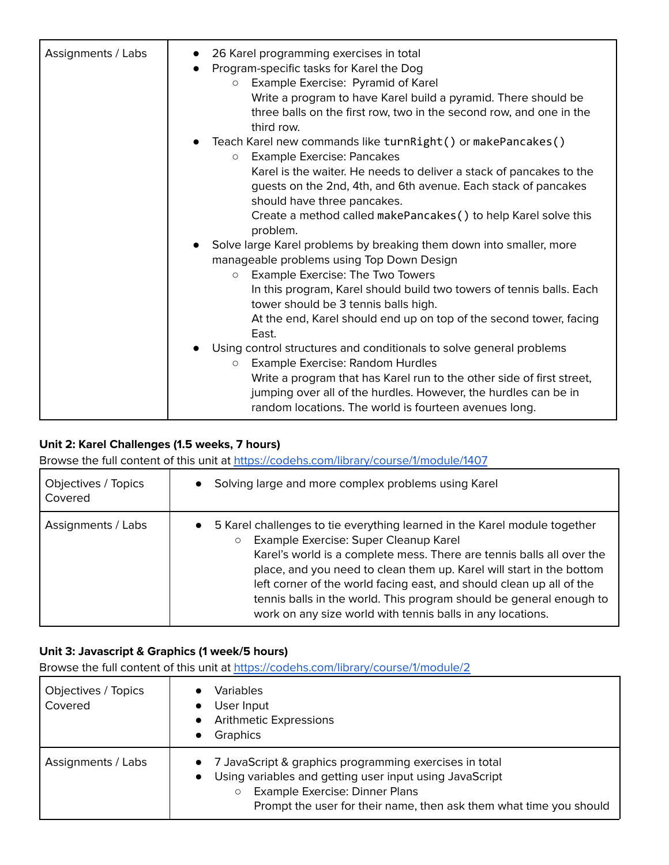| Assignments / Labs | 26 Karel programming exercises in total<br>Program-specific tasks for Karel the Dog<br>Example Exercise: Pyramid of Karel<br>$\circ$<br>Write a program to have Karel build a pyramid. There should be<br>three balls on the first row, two in the second row, and one in the<br>third row.                                                                                                                                                                                                                                                                                                                                                                                             |
|--------------------|-----------------------------------------------------------------------------------------------------------------------------------------------------------------------------------------------------------------------------------------------------------------------------------------------------------------------------------------------------------------------------------------------------------------------------------------------------------------------------------------------------------------------------------------------------------------------------------------------------------------------------------------------------------------------------------------|
|                    | Teach Karel new commands like turnRight() or makePancakes()<br><b>Example Exercise: Pancakes</b><br>$\circ$<br>Karel is the waiter. He needs to deliver a stack of pancakes to the<br>guests on the 2nd, 4th, and 6th avenue. Each stack of pancakes<br>should have three pancakes.<br>Create a method called makePancakes () to help Karel solve this<br>problem.                                                                                                                                                                                                                                                                                                                      |
|                    | Solve large Karel problems by breaking them down into smaller, more<br>manageable problems using Top Down Design<br><b>O</b> Example Exercise: The Two Towers<br>In this program, Karel should build two towers of tennis balls. Each<br>tower should be 3 tennis balls high.<br>At the end, Karel should end up on top of the second tower, facing<br>East.<br>Using control structures and conditionals to solve general problems<br>Example Exercise: Random Hurdles<br>$\circ$<br>Write a program that has Karel run to the other side of first street,<br>jumping over all of the hurdles. However, the hurdles can be in<br>random locations. The world is fourteen avenues long. |

# **Unit 2: Karel Challenges (1.5 weeks, 7 hours)**

Browse the full content of this unit at <https://codehs.com/library/course/1/module/1407>

| Objectives / Topics | Solving large and more complex problems using Karel                                                                                                                                                                                                                                                                                                                                                                                                                                                      |
|---------------------|----------------------------------------------------------------------------------------------------------------------------------------------------------------------------------------------------------------------------------------------------------------------------------------------------------------------------------------------------------------------------------------------------------------------------------------------------------------------------------------------------------|
| Covered             | $\bullet$                                                                                                                                                                                                                                                                                                                                                                                                                                                                                                |
| Assignments / Labs  | 5 Karel challenges to tie everything learned in the Karel module together<br>$\bullet$<br>Example Exercise: Super Cleanup Karel<br>$\circ$<br>Karel's world is a complete mess. There are tennis balls all over the<br>place, and you need to clean them up. Karel will start in the bottom<br>left corner of the world facing east, and should clean up all of the<br>tennis balls in the world. This program should be general enough to<br>work on any size world with tennis balls in any locations. |

### **Unit 3: Javascript & Graphics (1 week/5 hours)**

| Objectives / Topics<br>Covered | Variables<br>User Input<br><b>Arithmetic Expressions</b><br>$\bullet$<br>Graphics<br>$\bullet$                                                                                                                                                                 |
|--------------------------------|----------------------------------------------------------------------------------------------------------------------------------------------------------------------------------------------------------------------------------------------------------------|
| Assignments / Labs             | 7 JavaScript & graphics programming exercises in total<br>$\bullet$<br>Using variables and getting user input using JavaScript<br>$\bullet$<br>Example Exercise: Dinner Plans<br>$\circ$<br>Prompt the user for their name, then ask them what time you should |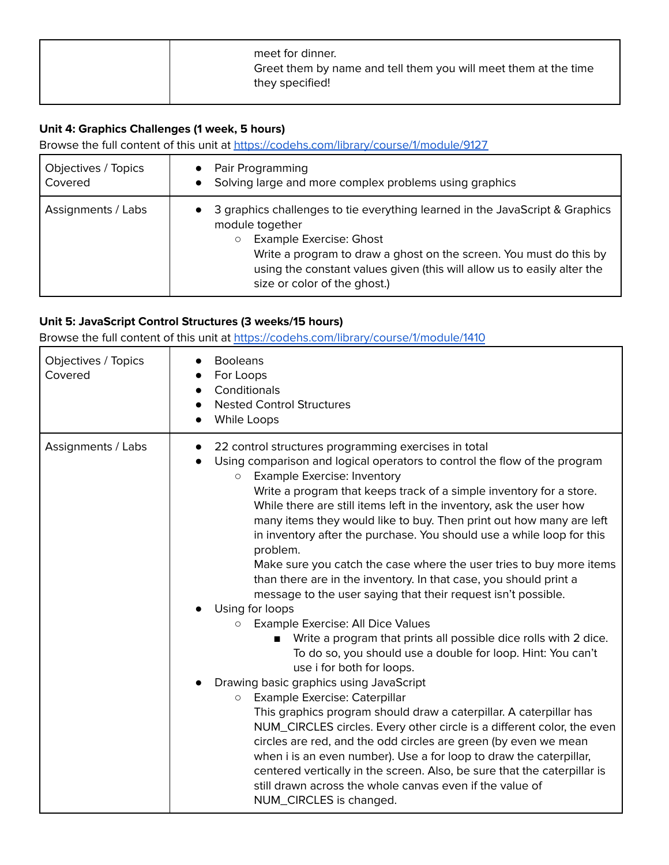|  |  | meet for dinner.<br>Greet them by name and tell them you will meet them at the time<br>they specified! |
|--|--|--------------------------------------------------------------------------------------------------------|
|--|--|--------------------------------------------------------------------------------------------------------|

# **Unit 4: Graphics Challenges (1 week, 5 hours)**

Browse the full content of this unit at <https://codehs.com/library/course/1/module/9127>

| Objectives / Topics | Pair Programming                                                                                                                                                                                                                                                                                                              |
|---------------------|-------------------------------------------------------------------------------------------------------------------------------------------------------------------------------------------------------------------------------------------------------------------------------------------------------------------------------|
| Covered             | Solving large and more complex problems using graphics                                                                                                                                                                                                                                                                        |
| Assignments / Labs  | 3 graphics challenges to tie everything learned in the JavaScript & Graphics<br>module together<br><b>Example Exercise: Ghost</b><br>$\circ$<br>Write a program to draw a ghost on the screen. You must do this by<br>using the constant values given (this will allow us to easily alter the<br>size or color of the ghost.) |

# **Unit 5: JavaScript Control Structures (3 weeks/15 hours)**

| Objectives / Topics<br>Covered | <b>Booleans</b><br>For Loops<br>Conditionals<br><b>Nested Control Structures</b><br>While Loops                                                                                                                                                                                                                                                                                                                                                                                                                                                                                                                                                                                                                                                                                                                                                                                                                                                                                                                                                                                                                                                                                                                                                                                                                                                                                                                                                                                                        |
|--------------------------------|--------------------------------------------------------------------------------------------------------------------------------------------------------------------------------------------------------------------------------------------------------------------------------------------------------------------------------------------------------------------------------------------------------------------------------------------------------------------------------------------------------------------------------------------------------------------------------------------------------------------------------------------------------------------------------------------------------------------------------------------------------------------------------------------------------------------------------------------------------------------------------------------------------------------------------------------------------------------------------------------------------------------------------------------------------------------------------------------------------------------------------------------------------------------------------------------------------------------------------------------------------------------------------------------------------------------------------------------------------------------------------------------------------------------------------------------------------------------------------------------------------|
| Assignments / Labs             | 22 control structures programming exercises in total<br>$\bullet$<br>Using comparison and logical operators to control the flow of the program<br><b>Example Exercise: Inventory</b><br>$\circ$<br>Write a program that keeps track of a simple inventory for a store.<br>While there are still items left in the inventory, ask the user how<br>many items they would like to buy. Then print out how many are left<br>in inventory after the purchase. You should use a while loop for this<br>problem.<br>Make sure you catch the case where the user tries to buy more items<br>than there are in the inventory. In that case, you should print a<br>message to the user saying that their request isn't possible.<br>Using for loops<br>Example Exercise: All Dice Values<br>О<br>Write a program that prints all possible dice rolls with 2 dice.<br>To do so, you should use a double for loop. Hint: You can't<br>use i for both for loops.<br>Drawing basic graphics using JavaScript<br>Example Exercise: Caterpillar<br>$\circ$<br>This graphics program should draw a caterpillar. A caterpillar has<br>NUM_CIRCLES circles. Every other circle is a different color, the even<br>circles are red, and the odd circles are green (by even we mean<br>when i is an even number). Use a for loop to draw the caterpillar,<br>centered vertically in the screen. Also, be sure that the caterpillar is<br>still drawn across the whole canvas even if the value of<br>NUM_CIRCLES is changed. |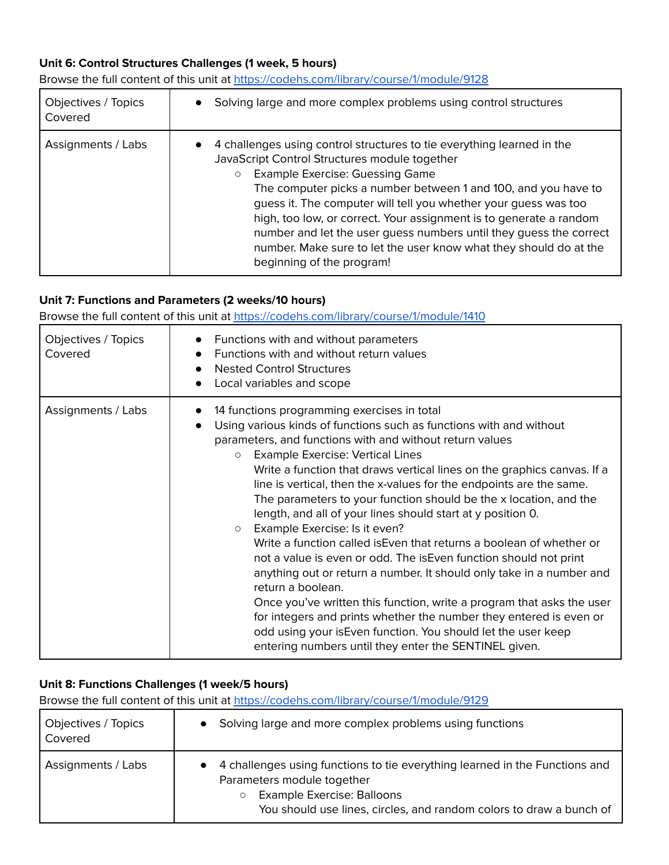#### **Unit 6: Control Structures Challenges (1 week, 5 hours)**

Browse the full content of this unit at <https://codehs.com/library/course/1/module/9128>

| Objectives / Topics<br>Covered | Solving large and more complex problems using control structures                                                                                                                                                                                                                                                                                                                                                                                                                                                                                                             |
|--------------------------------|------------------------------------------------------------------------------------------------------------------------------------------------------------------------------------------------------------------------------------------------------------------------------------------------------------------------------------------------------------------------------------------------------------------------------------------------------------------------------------------------------------------------------------------------------------------------------|
| Assignments / Labs             | 4 challenges using control structures to tie everything learned in the<br>$\bullet$<br>JavaScript Control Structures module together<br><b>Example Exercise: Guessing Game</b><br>$\circ$<br>The computer picks a number between 1 and 100, and you have to<br>guess it. The computer will tell you whether your guess was too<br>high, too low, or correct. Your assignment is to generate a random<br>number and let the user guess numbers until they guess the correct<br>number. Make sure to let the user know what they should do at the<br>beginning of the program! |

#### **Unit 7: Functions and Parameters (2 weeks/10 hours)**

Browse the full content of this unit at <https://codehs.com/library/course/1/module/1410>

| Objectives / Topics<br>Covered | Functions with and without parameters<br>Functions with and without return values<br><b>Nested Control Structures</b><br>$\bullet$<br>Local variables and scope<br>$\bullet$                                                                                                                                                                                                                                                                                                                                                                                                                                                                                                                                                                                                                                                                                                                                                                                                                                                                                                                                        |
|--------------------------------|---------------------------------------------------------------------------------------------------------------------------------------------------------------------------------------------------------------------------------------------------------------------------------------------------------------------------------------------------------------------------------------------------------------------------------------------------------------------------------------------------------------------------------------------------------------------------------------------------------------------------------------------------------------------------------------------------------------------------------------------------------------------------------------------------------------------------------------------------------------------------------------------------------------------------------------------------------------------------------------------------------------------------------------------------------------------------------------------------------------------|
| Assignments / Labs             | 14 functions programming exercises in total<br>$\bullet$<br>Using various kinds of functions such as functions with and without<br>$\bullet$<br>parameters, and functions with and without return values<br><b>Example Exercise: Vertical Lines</b><br>$\circ$<br>Write a function that draws vertical lines on the graphics canvas. If a<br>line is vertical, then the x-values for the endpoints are the same.<br>The parameters to your function should be the x location, and the<br>length, and all of your lines should start at y position 0.<br>Example Exercise: Is it even?<br>$\circ$<br>Write a function called is Even that returns a boolean of whether or<br>not a value is even or odd. The is Even function should not print<br>anything out or return a number. It should only take in a number and<br>return a boolean.<br>Once you've written this function, write a program that asks the user<br>for integers and prints whether the number they entered is even or<br>odd using your is Even function. You should let the user keep<br>entering numbers until they enter the SENTINEL given. |

#### **Unit 8: Functions Challenges (1 week/5 hours)**

| Objectives / Topics<br>Covered | Solving large and more complex problems using functions                                                                                                                                                                   |
|--------------------------------|---------------------------------------------------------------------------------------------------------------------------------------------------------------------------------------------------------------------------|
| Assignments / Labs             | 4 challenges using functions to tie everything learned in the Functions and<br>Parameters module together<br>Example Exercise: Balloons<br>$\circ$<br>You should use lines, circles, and random colors to draw a bunch of |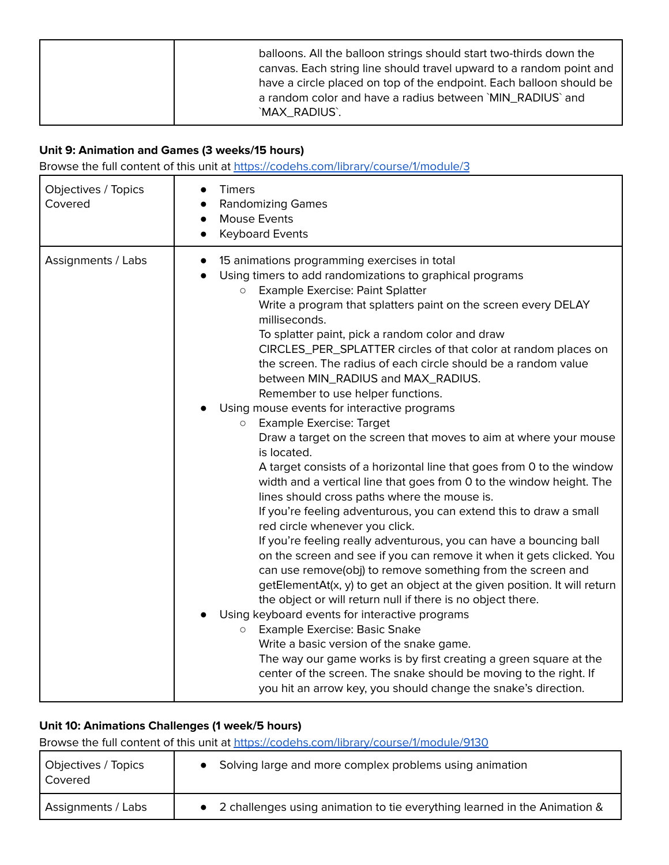|  | balloons. All the balloon strings should start two-thirds down the<br>canvas. Each string line should travel upward to a random point and<br>have a circle placed on top of the endpoint. Each balloon should be<br>a random color and have a radius between `MIN_RADIUS` and<br>`MAX_RADIUS`. |
|--|------------------------------------------------------------------------------------------------------------------------------------------------------------------------------------------------------------------------------------------------------------------------------------------------|
|--|------------------------------------------------------------------------------------------------------------------------------------------------------------------------------------------------------------------------------------------------------------------------------------------------|

## **Unit 9: Animation and Games (3 weeks/15 hours)**

Browse the full content of this unit at <https://codehs.com/library/course/1/module/3>

| Objectives / Topics<br>Covered | <b>Timers</b><br><b>Randomizing Games</b><br>$\bullet$<br>Mouse Events<br>$\bullet$<br><b>Keyboard Events</b>                                                                                                                                                                                                                                                                                                                                                                                                                                                                                                                                                                                                                                                                                                                                                                                                                                                                                                                                                                                                                                                                                                                                                                                                                                                                                                                                                                                                                                                                                                                                                                                                                                       |
|--------------------------------|-----------------------------------------------------------------------------------------------------------------------------------------------------------------------------------------------------------------------------------------------------------------------------------------------------------------------------------------------------------------------------------------------------------------------------------------------------------------------------------------------------------------------------------------------------------------------------------------------------------------------------------------------------------------------------------------------------------------------------------------------------------------------------------------------------------------------------------------------------------------------------------------------------------------------------------------------------------------------------------------------------------------------------------------------------------------------------------------------------------------------------------------------------------------------------------------------------------------------------------------------------------------------------------------------------------------------------------------------------------------------------------------------------------------------------------------------------------------------------------------------------------------------------------------------------------------------------------------------------------------------------------------------------------------------------------------------------------------------------------------------------|
| Assignments / Labs             | 15 animations programming exercises in total<br>$\bullet$<br>Using timers to add randomizations to graphical programs<br><b>Example Exercise: Paint Splatter</b><br>$\circ$<br>Write a program that splatters paint on the screen every DELAY<br>milliseconds.<br>To splatter paint, pick a random color and draw<br>CIRCLES_PER_SPLATTER circles of that color at random places on<br>the screen. The radius of each circle should be a random value<br>between MIN_RADIUS and MAX_RADIUS.<br>Remember to use helper functions.<br>Using mouse events for interactive programs<br><b>Example Exercise: Target</b><br>$\circ$<br>Draw a target on the screen that moves to aim at where your mouse<br>is located.<br>A target consists of a horizontal line that goes from 0 to the window<br>width and a vertical line that goes from 0 to the window height. The<br>lines should cross paths where the mouse is.<br>If you're feeling adventurous, you can extend this to draw a small<br>red circle whenever you click.<br>If you're feeling really adventurous, you can have a bouncing ball<br>on the screen and see if you can remove it when it gets clicked. You<br>can use remove(obj) to remove something from the screen and<br>getElementAt(x, y) to get an object at the given position. It will return<br>the object or will return null if there is no object there.<br>Using keyboard events for interactive programs<br><b>Example Exercise: Basic Snake</b><br>$\bigcirc$<br>Write a basic version of the snake game.<br>The way our game works is by first creating a green square at the<br>center of the screen. The snake should be moving to the right. If<br>you hit an arrow key, you should change the snake's direction. |

## **Unit 10: Animations Challenges (1 week/5 hours)**

| Objectives / Topics<br>l Covered | • Solving large and more complex problems using animation                   |
|----------------------------------|-----------------------------------------------------------------------------|
| Assignments / Labs               | • 2 challenges using animation to tie everything learned in the Animation & |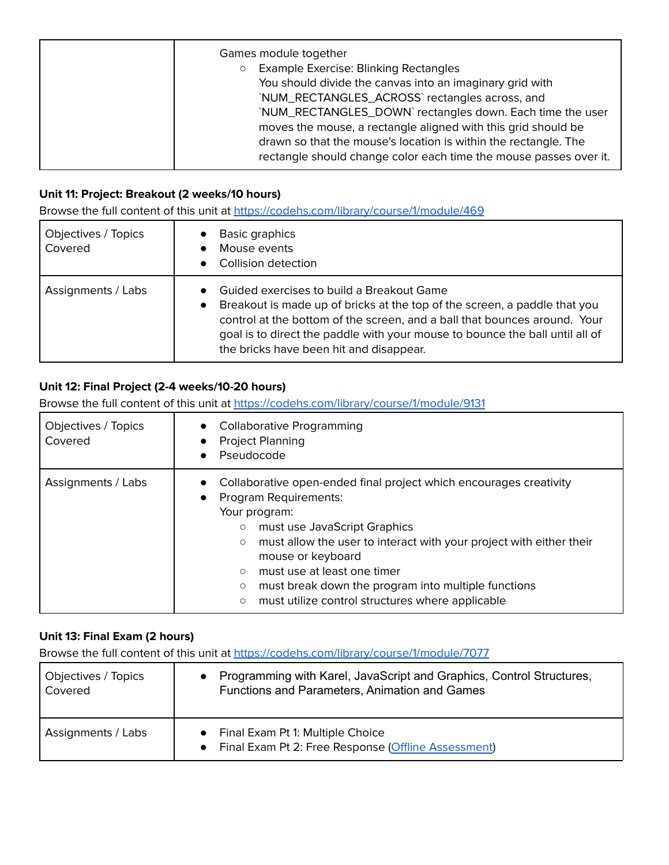| Games module together<br><b>Example Exercise: Blinking Rectangles</b><br>$\circ$<br>You should divide the canvas into an imaginary grid with<br>`NUM_RECTANGLES_ACROSS` rectangles across, and<br>`NUM_RECTANGLES_DOWN`rectangles down. Each time the user<br>moves the mouse, a rectangle aligned with this grid should be<br>drawn so that the mouse's location is within the rectangle. The<br>rectangle should change color each time the mouse passes over it. |
|---------------------------------------------------------------------------------------------------------------------------------------------------------------------------------------------------------------------------------------------------------------------------------------------------------------------------------------------------------------------------------------------------------------------------------------------------------------------|
|---------------------------------------------------------------------------------------------------------------------------------------------------------------------------------------------------------------------------------------------------------------------------------------------------------------------------------------------------------------------------------------------------------------------------------------------------------------------|

# **Unit 11: Project: Breakout (2 weeks/10 hours)**

Browse the full content of this unit at <https://codehs.com/library/course/1/module/469>

| Objectives / Topics<br>Covered | Basic graphics<br>Mouse events<br>Collision detection                                                                                                                                                                                                                                                                          |
|--------------------------------|--------------------------------------------------------------------------------------------------------------------------------------------------------------------------------------------------------------------------------------------------------------------------------------------------------------------------------|
| Assignments / Labs             | Guided exercises to build a Breakout Game<br>Breakout is made up of bricks at the top of the screen, a paddle that you<br>control at the bottom of the screen, and a ball that bounces around. Your<br>goal is to direct the paddle with your mouse to bounce the ball until all of<br>the bricks have been hit and disappear. |

#### **Unit 12: Final Project (2-4 weeks/10-20 hours)**

Browse the full content of this unit at <https://codehs.com/library/course/1/module/9131>

| Objectives / Topics<br>Covered | <b>Collaborative Programming</b><br><b>Project Planning</b><br>Pseudocode                                                                                                                                                                                                                                                                                                                                                                                   |  |
|--------------------------------|-------------------------------------------------------------------------------------------------------------------------------------------------------------------------------------------------------------------------------------------------------------------------------------------------------------------------------------------------------------------------------------------------------------------------------------------------------------|--|
| Assignments / Labs             | Collaborative open-ended final project which encourages creativity<br>Program Requirements:<br>Your program:<br>must use JavaScript Graphics<br>$\circlearrowright$<br>must allow the user to interact with your project with either their<br>$\circlearrowright$<br>mouse or keyboard<br>must use at least one timer<br>$\circ$<br>must break down the program into multiple functions<br>O<br>must utilize control structures where applicable<br>$\circ$ |  |

#### **Unit 13: Final Exam (2 hours)**

| Objectives / Topics | Programming with Karel, JavaScript and Graphics, Control Structures,                        |
|---------------------|---------------------------------------------------------------------------------------------|
| Covered             | Functions and Parameters, Animation and Games                                               |
| Assignments / Labs  | • Final Exam Pt 1: Multiple Choice<br>• Final Exam Pt 2: Free Response (Offline Assessment) |